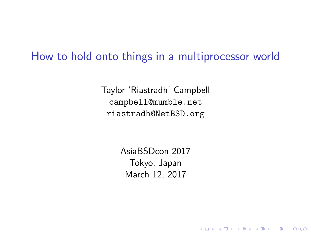#### How to hold onto things in a multiprocessor world

Taylor 'Riastradh' Campbell campbell@mumble.net riastradh@NetBSD.org

> AsiaBSDcon 2017 Tokyo, Japan March 12, 2017

> > K ロ ▶ K @ ▶ K 할 > K 할 > 1 할 > 1 이익어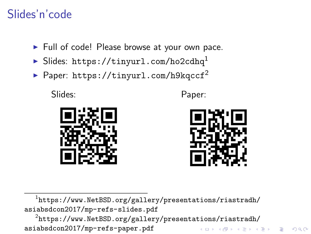# Slides'n'code

- $\blacktriangleright$  Full of code! Please browse at your own pace.
- $\blacktriangleright$  Slides: <https://tinyurl.com/ho2cdhq><sup>1</sup>
- Paper: <https://tinyurl.com/h9kqccf><sup>2</sup>

Slides: Paper:





 $^{\rm 1}$ [https://www.NetBSD.org/gallery/presentations/riastradh/](https://www.NetBSD.org/gallery/presentations/riastradh/asiabsdcon2017/mp-refs-slides.pdf) [asiabsdcon2017/mp-refs-slides.pdf](https://www.NetBSD.org/gallery/presentations/riastradh/asiabsdcon2017/mp-refs-slides.pdf)

 $^2$ [https://www.NetBSD.org/gallery/presentations/riastradh/](https://www.NetBSD.org/gallery/presentations/riastradh/asiabsdcon2017/mp-refs-paper.pdf) [asiabsdcon2017/mp-refs-paper.pdf](https://www.NetBSD.org/gallery/presentations/riastradh/asiabsdcon2017/mp-refs-paper.pdf)**KORK STRAIN A BAR SHOP**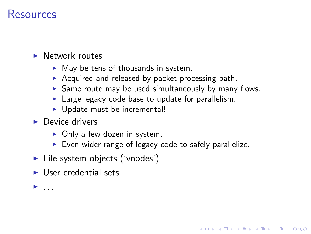#### Resources

#### $\blacktriangleright$  Network routes

- $\blacktriangleright$  May be tens of thousands in system.
- $\triangleright$  Acquired and released by packet-processing path.
- $\triangleright$  Same route may be used simultaneously by many flows.
- $\blacktriangleright$  Large legacy code base to update for parallelism.
- $\blacktriangleright$  Update must be incremental!
- $\blacktriangleright$  Device drivers
	- $\triangleright$  Only a few dozen in system.
	- $\triangleright$  Even wider range of legacy code to safely parallelize.

**KORK ERKER ADE YOUR** 

- $\blacktriangleright$  File system objects ('vnodes')
- $\blacktriangleright$  User credential sets

 $\blacktriangleright$  ...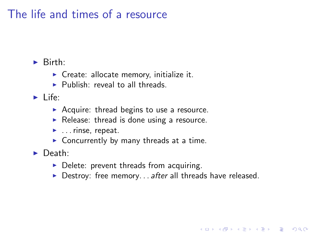# The life and times of a resource

 $\blacktriangleright$  Birth:

- $\triangleright$  Create: allocate memory, initialize it.
- $\blacktriangleright$  Publish: reveal to all threads.

 $\blacktriangleright$  Life:

- $\triangleright$  Acquire: thread begins to use a resource.
- $\triangleright$  Release: thread is done using a resource.
- $\blacktriangleright$  ... rinse, repeat.
- $\triangleright$  Concurrently by many threads at a time.

 $\blacktriangleright$  Death:

- $\triangleright$  Delete: prevent threads from acquiring.
- $\triangleright$  Destroy: free memory... after all threads have released.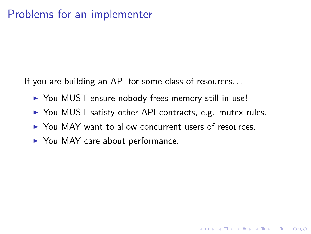# Problems for an implementer

If you are building an API for some class of resources. . .

- ▶ You MUST ensure nobody frees memory still in use!
- $\triangleright$  You MUST satisfy other API contracts, e.g. mutex rules.

**KORK STRATER STRAKER** 

- ▶ You MAY want to allow concurrent users of resources.
- $\blacktriangleright$  You MAY care about performance.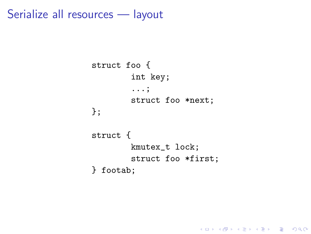Serialize all resources — layout

```
struct foo {
        int key;
        ...;
        struct foo *next;
};
struct {
        kmutex_t lock;
        struct foo *first;
} footab;
```
K ロ ▶ K @ ▶ K 할 > K 할 > 1 할 > 1 이익어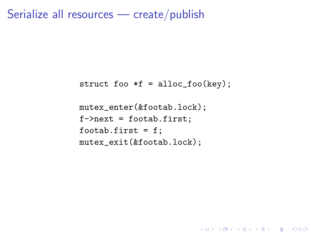Serialize all resources — create/publish

```
struct foo *f = alloc_foo(key);
```
**K ロ ▶ K @ ▶ K 할 X X 할 X 및 할 X X Q Q O** 

```
mutex_enter(&footab.lock);
f->next = footab.first;
footab.first = f;
mutex_exit(&footab.lock);
```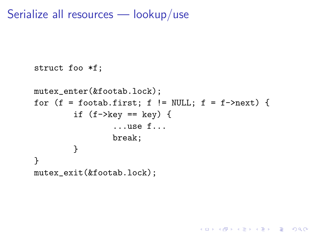Serialize all resources — lookup/use

```
struct foo *f;
mutex_enter(&footab.lock);
for (f = footab.first; f != NULL; f = f->next) {
        if (f->key == key) {
                ...use f...
                break;
        }
}
mutex_exit(&footab.lock);
```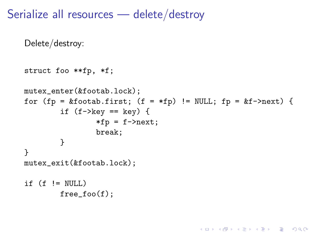Serialize all resources — delete/destroy

```
Delete/destroy:
struct foo **fp, *f;
mutex_enter(&footab.lock);
for (fp = &footab.first; (f = *fp) != NULL; fp = &f->next) {
        if (f->key == key) {
                *fp = f->next;break;
        }
}
mutex_exit(&footab.lock);
if (f \mid = NULL)free\_foo(f);
```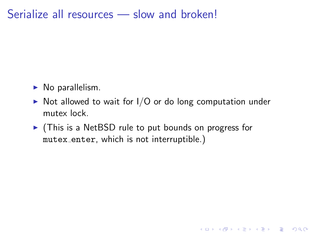#### Serialize all resources — slow and broken!

- $\triangleright$  No parallelism.
- $\triangleright$  Not allowed to wait for I/O or do long computation under mutex lock.

K ロ ▶ K @ ▶ K 할 > K 할 > 1 할 > 1 이익어

 $\triangleright$  (This is a NetBSD rule to put bounds on progress for mutex enter, which is not interruptible.)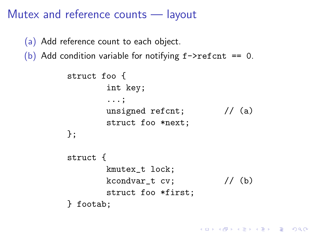## Mutex and reference counts — layout

(a) Add reference count to each object.

(b) Add condition variable for notifying  $f \rightarrow refcnt$  == 0.

```
struct foo {
       int key;
       ...;
       unsigned refcnt; // (a)
       struct foo *next;
};
struct {
       kmutex_t lock;
       kcondvar_t cv; // (b)struct foo *first;
} footab;
```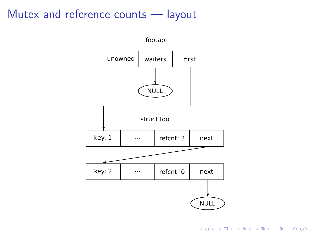## Mutex and reference counts — layout

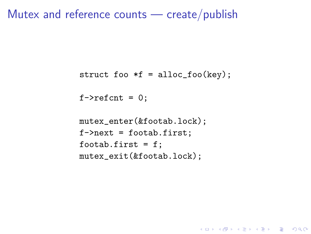#### Mutex and reference counts — create/publish

```
struct foo *f = alloc_foo(key);
```
**KORKA SERKER ORA** 

 $f$ ->refcnt = 0:

```
mutex_enter(&footab.lock);
f->next = footab.first;
footab.first = f;
mutex_exit(&footab.lock);
```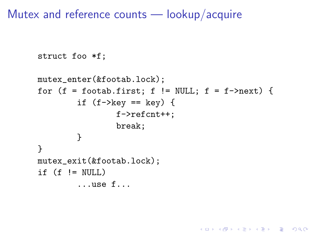Mutex and reference counts — lookup/acquire

```
struct foo *f;
mutex_enter(&footab.lock);
for (f = football, first; f := NULL; f = f->next) {
        if (f->key == key) {
                 f->refcnt++;
                 break;
        }
}
mutex_exit(&footab.lock);
if (f \mid = NULL)...use f...
```
**KORK STRAIN A BAR SHOP**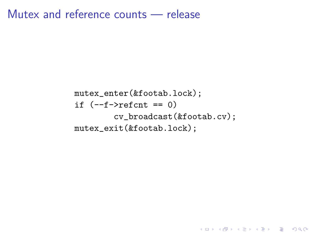Mutex and reference counts — release

mutex\_enter(&footab.lock); if (--f->refcnt == 0) cv\_broadcast(&footab.cv); mutex\_exit(&footab.lock);

K ロ ▶ K @ ▶ K 할 ▶ K 할 ▶ | 할 | 2000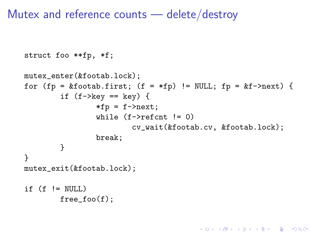Mutex and reference counts — delete/destroy

```
struct foo **fp, *f;
```

```
mutex_enter(&footab.lock);
for (fp = &footab.first; (f = *fp) != NULL; fp = &f->next) {
        if (f->key == key) {
                *fp = f->next;while (f->refcnt != 0)
                         cv_wait(&footab.cv, &footab.lock);
                break;
        }
}
mutex_exit(&footab.lock);
if (f \mid = NULL)free foo(f):
```
**KORK STRAIN A BAR SHOP**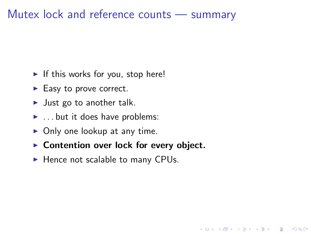## Mutex lock and reference counts — summary

- If this works for you, stop here!
- $\blacktriangleright$  Easy to prove correct.
- $\blacktriangleright$  Just go to another talk.
- $\blacktriangleright$  . . but it does have problems:
- $\triangleright$  Only one lookup at any time.
- $\triangleright$  Contention over lock for every object.

K ロ ▶ K @ ▶ K 할 > K 할 > 1 할 > 1 이익어

 $\blacktriangleright$  Hence not scalable to many CPUs.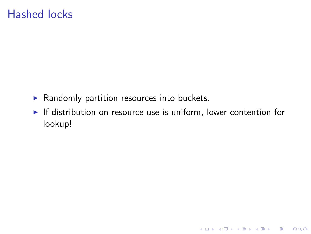## Hashed locks

- $\blacktriangleright$  Randomly partition resources into buckets.
- $\blacktriangleright$  If distribution on resource use is uniform, lower contention for lookup!

K ロ X K (P) X (E) X (E) X (E) X (P) Q (P)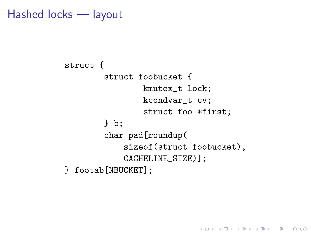Hashed locks — layout

```
struct {
        struct foobucket {
                kmutex_t lock;
                kcondvar_t cv;
                struct foo *first;
        } b;
        char pad[roundup(
            sizeof(struct foobucket),
            CACHELINE_SIZE)];
} footab[NBUCKET];
```
**KORKA SERKER ORA**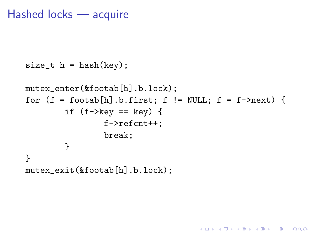#### Hashed locks — acquire

```
size_t h = hash(key);
mutex_enter(&footab[h].b.lock);
for (f = football.h.first; f != NULL; f = f->next) {
        if (f-\text{key} == \text{key}) {
                 f->refcnt++;
                 break;
        }
}
mutex_exit(&footab[h].b.lock);
```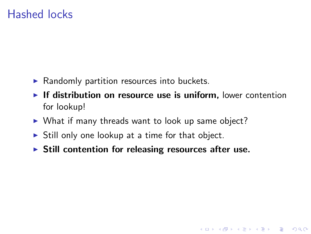## Hashed locks

- $\blacktriangleright$  Randomly partition resources into buckets.
- If distribution on resource use is uniform, lower contention for lookup!

K ロ ▶ K @ ▶ K 할 > K 할 > 1 할 > 1 이익어

- $\triangleright$  What if many threads want to look up same object?
- $\triangleright$  Still only one lookup at a time for that object.
- $\triangleright$  Still contention for releasing resources after use.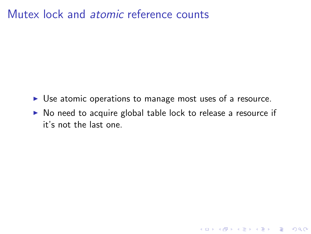## Mutex lock and atomic reference counts

- $\triangleright$  Use atomic operations to manage most uses of a resource.
- $\triangleright$  No need to acquire global table lock to release a resource if it's not the last one.

K ロ ▶ K @ ▶ K 할 > K 할 > 1 할 > 1 이익어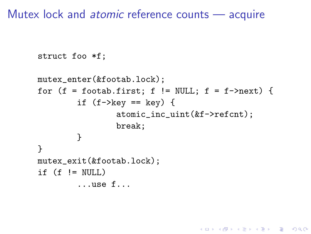Mutex lock and atomic reference counts — acquire

```
struct foo *f;
mutex_enter(&footab.lock);
for (f = football, first; f := NULL; f = f->next) {
        if (f->key == key) {
                 atomic_inc_uint(&f->refcnt);
                 break;
        }
}
mutex_exit(&footab.lock);
if (f \mid = NULL)...use f...
```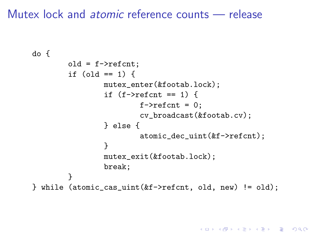## Mutex lock and atomic reference counts — release

```
do {
        old = f->refcnt;
        if (old == 1) {
                 mutex_enter(&footab.lock);
                 if (f\rightarrowrefcnt == 1) {
                         f->refcnt = 0;
                         cv_broadcast(&footab.cv);
                 } else {
                         atomic_dec_uint(&f->refcnt);
                 }
                 mutex_exit(&footab.lock);
                 break;
        }
} while (atomic_cas_uint(&f->refcnt, old, new) != old);
```
**KORK STRAIN A BAR SHOP**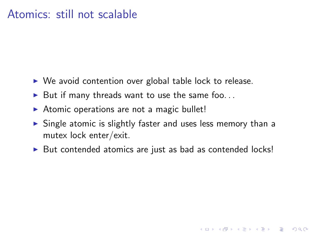#### Atomics: still not scalable

- $\triangleright$  We avoid contention over global table lock to release.
- $\blacktriangleright$  But if many threads want to use the same foo...
- $\triangleright$  Atomic operations are not a magic bullet!
- $\triangleright$  Single atomic is slightly faster and uses less memory than a mutex lock enter/exit.
- $\triangleright$  But contended atomics are just as bad as contended locks!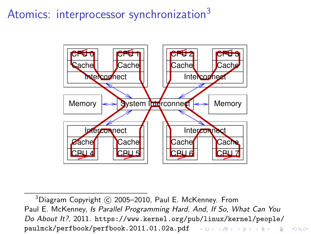# Atomics: interprocessor synchronization<sup>3</sup>



 $3$ Diagram Copyright  $\circ$  2005–2010, Paul E. McKenney. From Paul E. McKenney, Is Parallel Programming Hard, And, If So, What Can You Do About It?, 2011. [https://www.kernel.org/pub/linux/kernel/people/](https://www.kernel.org/pub/linux/kernel/people/paulmck/perfbook/perfbook.2011.01.02a.pdf) [paulmck/perfbook/perfbook.2011.01.02a.pdf](https://www.kernel.org/pub/linux/kernel/people/paulmck/perfbook/perfbook.2011.01.02a.pdf) (Density Reserves) and  $\phi$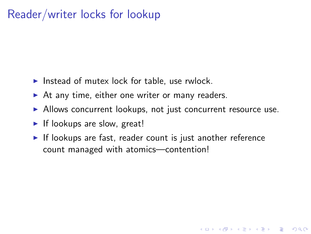# Reader/writer locks for lookup

- Instead of mutex lock for table, use rwlock.
- $\triangleright$  At any time, either one writer or many readers.
- $\blacktriangleright$  Allows concurrent lookups, not just concurrent resource use.
- $\blacktriangleright$  If lookups are slow, great!
- $\blacktriangleright$  If lookups are fast, reader count is just another reference count managed with atomics—contention!

**KORKA SERKER ORA**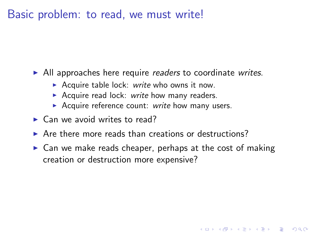Basic problem: to read, we must write!

 $\blacktriangleright$  All approaches here require readers to coordinate writes.

- Acquire table lock: write who owns it now.
- Acquire read lock: write how many readers.
- Acquire reference count: write how many users.
- $\blacktriangleright$  Can we avoid writes to read?
- $\triangleright$  Are there more reads than creations or destructions?
- $\triangleright$  Can we make reads cheaper, perhaps at the cost of making creation or destruction more expensive?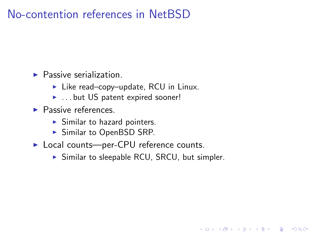# No-contention references in NetBSD

 $\blacktriangleright$  Passive serialization.

- $\blacktriangleright$  Like read–copy–update, RCU in Linux.
- **E** ... but US patent expired sooner!
- $\blacktriangleright$  Passive references.
	- $\blacktriangleright$  Similar to hazard pointers.
	- $\triangleright$  Similar to OpenBSD SRP.
- ▶ Local counts—per-CPU reference counts.
	- $\triangleright$  Similar to sleepable RCU, SRCU, but simpler.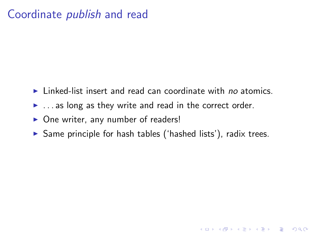## Coordinate publish and read

- $\blacktriangleright$  Linked-list insert and read can coordinate with no atomics.
- $\blacktriangleright$  ... as long as they write and read in the correct order.
- $\triangleright$  One writer, any number of readers!
- $\triangleright$  Same principle for hash tables ('hashed lists'), radix trees.

**K ロ ▶ K @ ▶ K 할 X X 할 X → 할 X → 9 Q Q ^**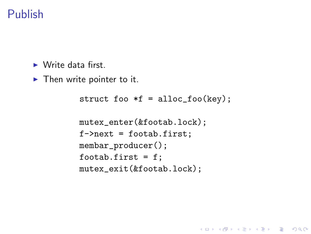# Publish

 $\blacktriangleright$  Write data first.

 $\blacktriangleright$  Then write pointer to it.

```
struct foo *f = alloc_foo(key);
mutex_enter(&footab.lock);
f->next = footab.first;
membar_producer();
footab.first = f:
mutex_exit(&footab.lock);
```
**KORKA SERKER ORA**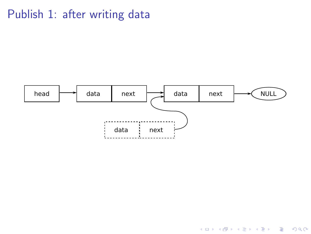# Publish 1: after writing data



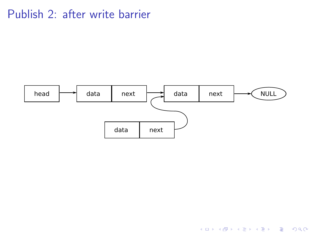## Publish 2: after write barrier



K ロ ▶ K @ ▶ K 할 ▶ K 할 ▶ | 할 | © 9 Q @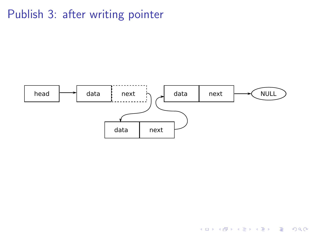# Publish 3: after writing pointer



K ロ X イロ X K ミ X K ミ X ミ → S V Q Q Q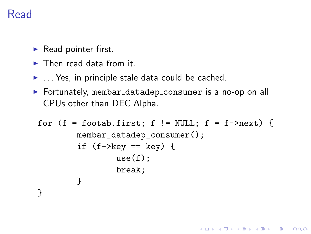# Read

- $\blacktriangleright$  Read pointer first.
- $\blacktriangleright$  Then read data from it.
- $\blacktriangleright$  ... Yes, in principle stale data could be cached.
- $\triangleright$  Fortunately, membar\_datadep\_consumer is a no-op on all CPUs other than DEC Alpha.

```
for (f = football, f := NULL; f = f->next) {
        membar_datadep_consumer();
        if (f->key == key) {
               use(f);break;
        }
}
```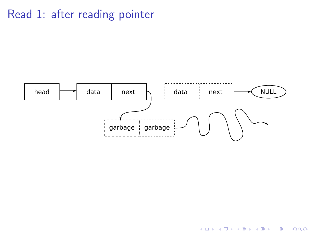# Read 1: after reading pointer



イロン イ部ン イ君ン イ君ンシ

重

 $299$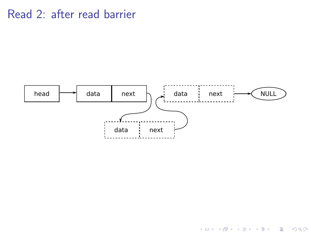## Read 2: after read barrier



K ロ ▶ K @ ▶ K 할 ▶ K 할 ▶ | 할 | © 9 Q @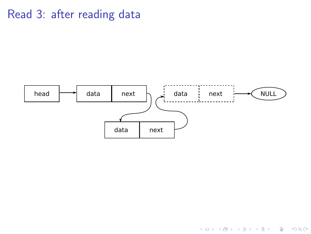# Read 3: after reading data



K ロ ▶ K @ ▶ K 할 > K 할 > 1 할 > 1 ⊙ Q Q ^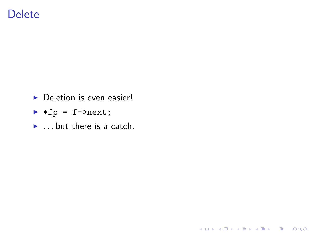### **Delete**

- $\triangleright$  Deletion is even easier!
- $\blacktriangleright$  \*fp = f->next;
- $\blacktriangleright$  ... but there is a catch.

K ロ ▶ K @ ▶ K 할 ▶ K 할 ▶ | 할 | ⊙Q @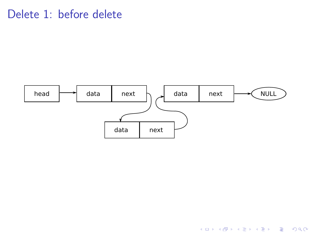## Delete 1: before delete



K ロ ▶ K @ ▶ K 할 ▶ K 할 ▶ | 할 | © 9 Q @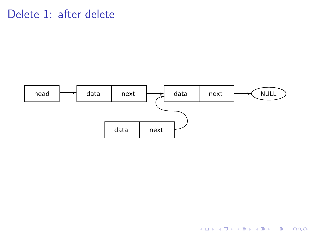## Delete 1: after delete



K ロ ▶ K @ ▶ K 할 ▶ K 할 ▶ | 할 | © 9 Q @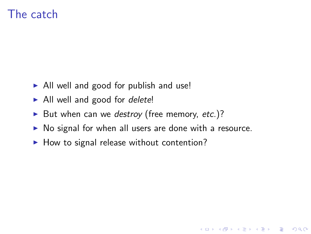## The catch

- $\triangleright$  All well and good for publish and use!
- $\blacktriangleright$  All well and good for *delete!*
- But when can we destroy (free memory, etc.)?
- $\triangleright$  No signal for when all users are done with a resource.

**K ロ ▶ K @ ▶ K 할 X X 할 X → 할 X → 9 Q Q ^** 

 $\blacktriangleright$  How to signal release without contention?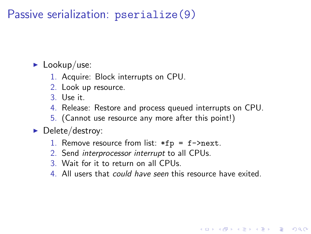Passive serialization: pserialize(9)

 $\blacktriangleright$  Lookup/use:

- 1. Acquire: Block interrupts on CPU.
- 2. Look up resource.
- 3. Use it.
- 4. Release: Restore and process queued interrupts on CPU.
- 5. (Cannot use resource any more after this point!)

#### $\blacktriangleright$  Delete/destroy:

- 1. Remove resource from list:  $*fp = f->next$ .
- 2. Send interprocessor interrupt to all CPUs.
- 3. Wait for it to return on all CPUs.
- 4. All users that could have seen this resource have exited.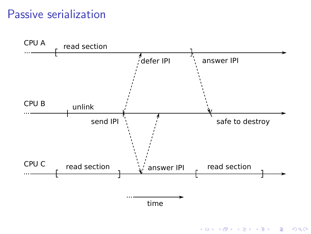## Passive serialization



K ロ ▶ K @ ▶ K 할 > K 할 > 1 할 > 1 이익어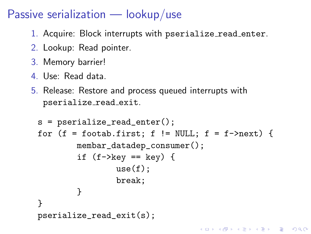## Passive serialization  $-$  lookup/use

- 1. Acquire: Block interrupts with pserialize\_read\_enter.
- 2. Lookup: Read pointer.
- 3. Memory barrier!
- 4. Use: Read data.
- 5. Release: Restore and process queued interrupts with pserialize read exit.

```
s = pserialize_read_enter();
for (f = footab.first; f != NULL; f = f->next) {
        membar_datadep_consumer();
        if (f-\text{key} == \text{key}) {
                 use(f):
                 break;
        }
}
pserialize_read_exit(s);
```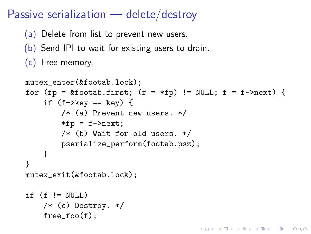## Passive serialization — delete/destroy

- (a) Delete from list to prevent new users.
- (b) Send IPI to wait for existing users to drain.
- (c) Free memory.

```
mutex_enter(&footab.lock):
for (fp = &footab.first; (f = *fp) != NULL; f = f->next) {
    if (f->key == key) {
        /* (a) Prevent new users. */
        *fp = f->next;/* (b) Wait for old users. */
        pserialize_perform(footab.psz);
    }
}
mutex_exit(&footab.lock);
if (f \mid = NULL)/* (c) Destroy. */
    free_foo(f);
```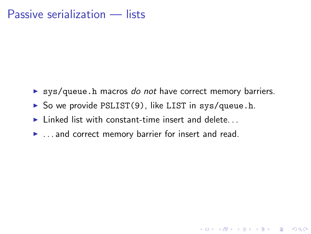#### Passive serialization — lists

 $\triangleright$  sys/queue.h macros do not have correct memory barriers.

**K ロ ▶ K @ ▶ K 할 X X 할 X → 할 X → 9 Q Q ^** 

- $\triangleright$  So we provide PSLIST(9), like LIST in sys/queue.h.
- $\blacktriangleright$  Linked list with constant-time insert and delete
- $\blacktriangleright$  ... and correct memory barrier for insert and read.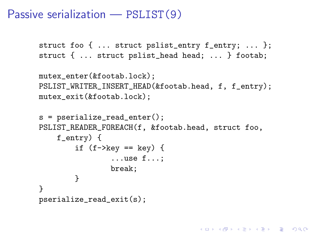#### Passive serialization — PSLIST(9)

```
struct foo { ... struct pslist_entry f_entry; ... };
struct { ... struct pslist_head head; ... } footab;
```

```
mutex_enter(&footab.lock);
PSLIST_WRITER_INSERT_HEAD(&footab.head, f, f_entry);
mutex_exit(&footab.lock);
```

```
s = pserialize_read_enter();
PSLIST_READER_FOREACH(f, &footab.head, struct foo,
    f_entry) {
        if (f->key == key) {
                ...use f...;
                break;
        }
}
pserialize_read_exit(s);
```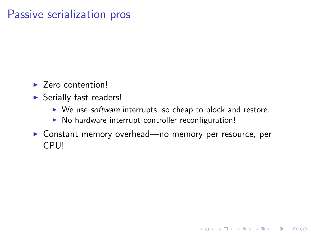### Passive serialization pros

- $\blacktriangleright$  Zero contention!
- $\triangleright$  Serially fast readers!
	- $\triangleright$  We use *software* interrupts, so cheap to block and restore.

**KORKA SERKER ORA** 

- $\triangleright$  No hardware interrupt controller reconfiguration!
- ▶ Constant memory overhead—no memory per resource, per CPU!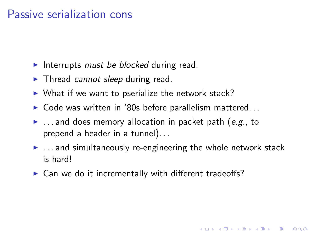#### Passive serialization cons

- Interrupts must be blocked during read.
- $\blacktriangleright$  Thread cannot sleep during read.
- $\triangleright$  What if we want to pserialize the network stack?
- $\triangleright$  Code was written in '80s before parallelism mattered...
- $\blacktriangleright$  ... and does memory allocation in packet path (e.g., to prepend a header in a tunnel). . .
- $\blacktriangleright$  ... and simultaneously re-engineering the whole network stack is hard!

**K ロ ▶ K @ ▶ K 할 X X 할 X → 할 X → 9 Q Q ^** 

 $\triangleright$  Can we do it incrementally with different tradeoffs?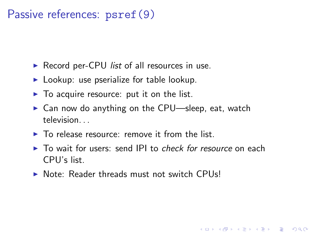## Passive references: psref(9)

- Record per-CPU *list* of all resources in use.
- $\blacktriangleright$  Lookup: use pserialize for table lookup.
- $\triangleright$  To acquire resource: put it on the list.
- $\triangleright$  Can now do anything on the CPU—sleep, eat, watch television. . .
- $\blacktriangleright$  To release resource: remove it from the list.
- $\triangleright$  To wait for users: send IPI to *check for resource* on each CPU's list.

**KORK ERKER ADE YOUR** 

 $\triangleright$  Note: Reader threads must not switch CPUs!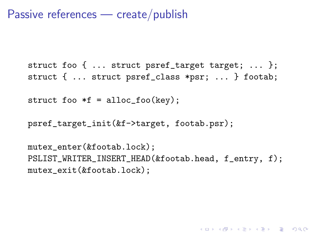Passive references — create/publish

```
struct foo { ... struct psref_target target; ... };
struct { ... struct psref_class *psr; ... } footab;
```

```
struct foo *f = alloc_foo(key);
```

```
psref_target_init(&f->target, footab.psr);
```
mutex enter(&footab.lock); PSLIST\_WRITER\_INSERT\_HEAD(&footab.head, f\_entry, f); mutex\_exit(&footab.lock);

4 D > 4 P + 4 B + 4 B + B + 9 Q O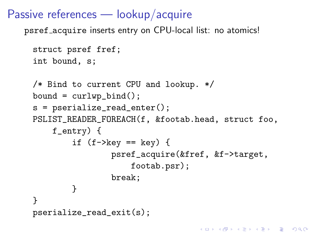## Passive references — lookup/acquire

psref acquire inserts entry on CPU-local list: no atomics!

```
struct psref fref;
int bound, s;
/* Bind to current CPU and lookup. */
bound = curlwp\_bind();
s = pserialize read enter();
PSLIST_READER_FOREACH(f, &footab.head, struct foo,
    f_entry) {
        if (f->key == key) {
                psref_acquire(&fref, &f->target,
                    footab.psr);
                break;
        }
}
pserialize_read_exit(s);
```
**KORKA SERKER ORA**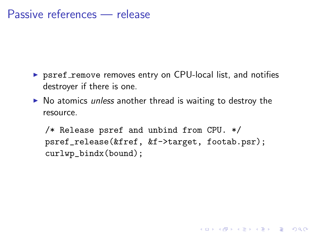#### Passive references — release

- $\triangleright$  psref remove removes entry on CPU-local list, and notifies destroyer if there is one.
- $\triangleright$  No atomics unless another thread is waiting to destroy the resource.

/\* Release psref and unbind from CPU. \*/ psref\_release(&fref, &f->target, footab.psr); curlwp\_bindx(bound);

**K ロ ▶ K @ ▶ K 할 X X 할 X → 할 X → 9 Q Q ^**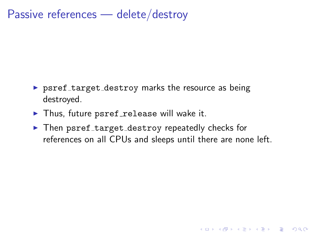# Passive references — delete/destroy

- $\triangleright$  psref\_target\_destroy marks the resource as being destroyed.
- $\blacktriangleright$  Thus, future psref\_release will wake it.
- ▶ Then psref\_target\_destroy repeatedly checks for references on all CPUs and sleeps until there are none left.

**K ロ ▶ K @ ▶ K 할 X X 할 X 및 할 X X Q Q O \***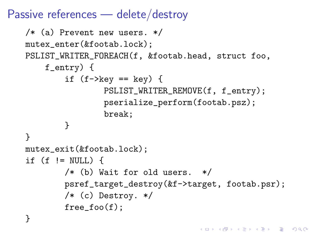## Passive references — delete/destroy

```
/* (a) Prevent new users. */
mutex_enter(&footab.lock);
PSLIST_WRITER_FOREACH(f, &footab.head, struct foo,
    f_entry) {
        if (f-\text{key} == \text{key}) {
                 PSLIST_WRITER_REMOVE(f, f_entry);
                 pserialize_perform(footab.psz);
                 break;
        }
}
mutex_exit(&footab.lock);
if (f \neq \text{NULL}) {
        /* (b) Wait for old users. */
        psref_target_destroy(&f->target, footab.psr);
        /* (c) Destroy. */
        free_foo(f);
}
```
**K ロ ▶ K @ ▶ K 할 X X 할 X → 할 X → 9 Q Q ^**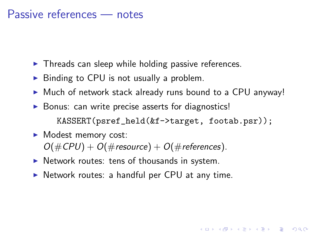#### Passive references — notes

- $\blacktriangleright$  Threads can sleep while holding passive references.
- $\triangleright$  Binding to CPU is not usually a problem.
- $\triangleright$  Much of network stack already runs bound to a CPU anyway!

**KORKA SERKER ORA** 

 $\triangleright$  Bonus: can write precise asserts for diagnostics! KASSERT(psref\_held(&f->target, footab.psr));

#### $\blacktriangleright$  Modest memory cost:  $O(\text{\#CPU}) + O(\text{\# resource}) + O(\text{\# references}).$

- $\triangleright$  Network routes: tens of thousands in system.
- $\triangleright$  Network routes: a handful per CPU at any time.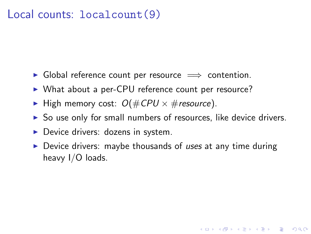#### Local counts: localcount(9)

- $\triangleright$  Global reference count per resource  $\implies$  contention.
- ▶ What about a per-CPU reference count per resource?
- $\blacktriangleright$  High memory cost:  $O(\#CPU \times \# resource)$ .
- $\triangleright$  So use only for small numbers of resources, like device drivers.
- $\triangleright$  Device drivers: dozens in system.
- $\triangleright$  Device drivers: maybe thousands of uses at any time during heavy I/O loads.

**KORKA SERKER ORA**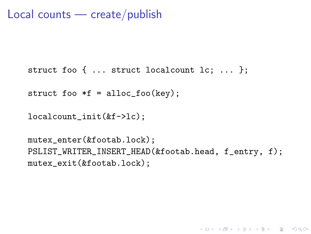```
Local counts — create/publish
```

```
struct foo { ... struct localcount lc; ... };
```
struct foo  $*f =$  alloc\_foo(key);

```
localcount_init(&f->lc);
```

```
mutex_enter(&footab.lock);
PSLIST_WRITER_INSERT_HEAD(&footab.head, f_entry, f);
mutex_exit(&footab.lock);
```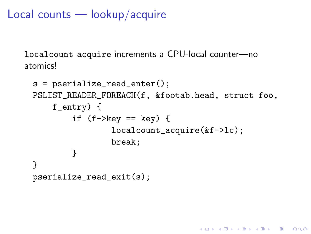# Local counts — lookup/acquire

localcount acquire increments a CPU-local counter—no atomics!

```
s = pserialize_read_enter();
PSLIST_READER_FOREACH(f, &footab.head, struct foo,
    f_entry) {
        if (f->key == key) {
                localcount_acquire(&f->lc);
                break;
        }
}
pserialize_read_exit(s);
```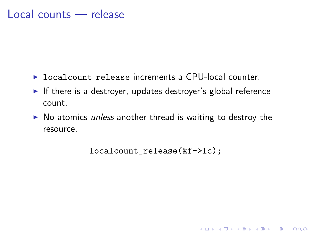- ▶ localcount release increments a CPU-local counter.
- If there is a destroyer, updates destroyer's global reference count.
- $\triangleright$  No atomics unless another thread is waiting to destroy the resource.

```
localcount_release(&f->lc);
```
**KORKA SERKER ORA**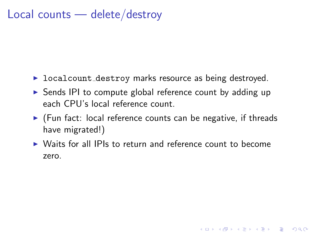#### Local counts — delete/destroy

- $\triangleright$  localcount destroy marks resource as being destroyed.
- $\triangleright$  Sends IPI to compute global reference count by adding up each CPU's local reference count.
- $\triangleright$  (Fun fact: local reference counts can be negative, if threads have migrated!)
- $\triangleright$  Waits for all IPIs to return and reference count to become zero.

**KORKA SERKER ORA**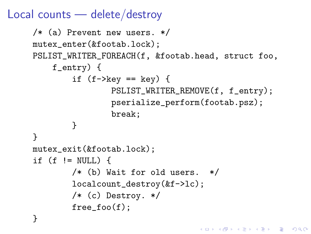## Local counts — delete/destroy

```
/* (a) Prevent new users. */
mutex_enter(&footab.lock);
PSLIST_WRITER_FOREACH(f, &footab.head, struct foo,
    f_entry) {
        if (f-\text{key} == \text{key}) {
                 PSLIST_WRITER_REMOVE(f, f_entry);
                 pserialize_perform(footab.psz);
                 break;
        }
}
mutex_exit(&footab.lock);
if (f \neq \text{NULL}) {
        /* (b) Wait for old users. */
        localcount_destroy(&f->lc);
        /* (c) Destroy. */
        free_foo(f);
}
```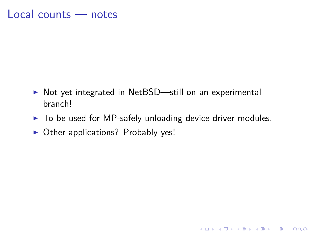#### Local counts — notes

- ▶ Not yet integrated in NetBSD—still on an experimental branch!
- $\triangleright$  To be used for MP-safely unloading device driver modules.

K ロ ▶ K @ ▶ K 할 > K 할 > 1 할 > 1 이익어

 $\triangleright$  Other applications? Probably yes!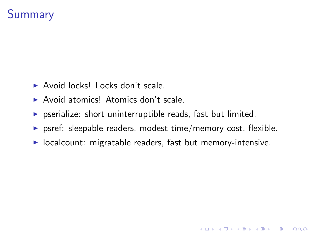# **Summary**

- $\triangleright$  Avoid locks! Locks don't scale.
- ▶ Avoid atomics! Atomics don't scale.
- $\triangleright$  pserialize: short uninterruptible reads, fast but limited.
- $\triangleright$  psref: sleepable readers, modest time/memory cost, flexible.

**KORKA SERKER ORA** 

 $\triangleright$  localcount: migratable readers, fast but memory-intensive.